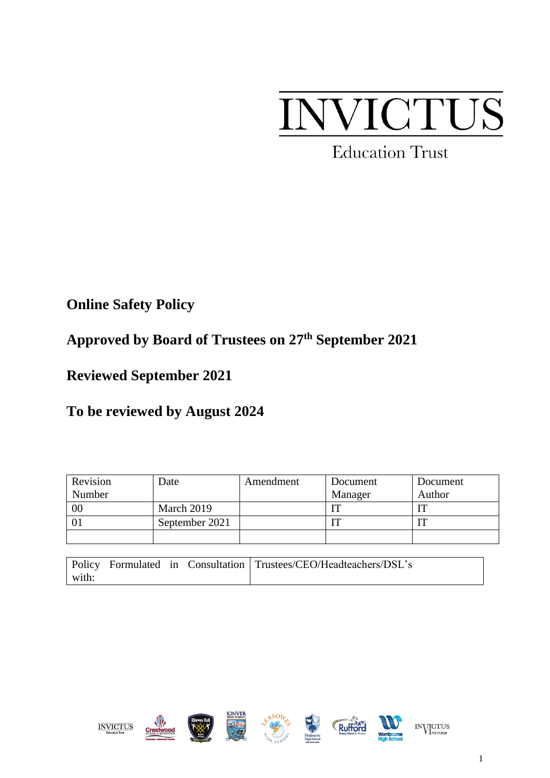# NVICTUS

**Education Trust** 

**Online Safety Policy**

# **Approved by Board of Trustees on 27th September 2021**

**Reviewed September 2021**

**To be reviewed by August 2024**

| Revision | Date           | Amendment | Document | Document |
|----------|----------------|-----------|----------|----------|
| Number   |                |           | Manager  | Author   |
| 00       | March 2019     |           |          |          |
|          | September 2021 |           |          |          |
|          |                |           |          |          |

|       |  | Policy Formulated in Consultation Trustees/CEO/Headteachers/DSL's |
|-------|--|-------------------------------------------------------------------|
| with: |  |                                                                   |



**INVICTUS**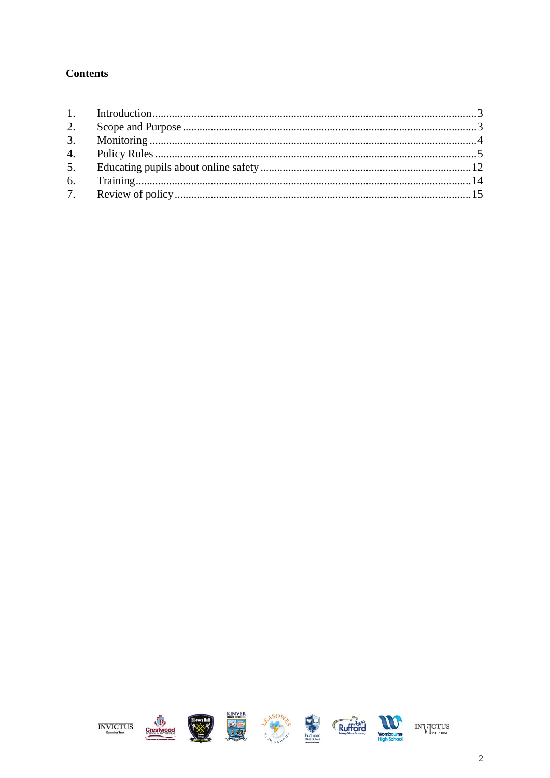#### **Contents**

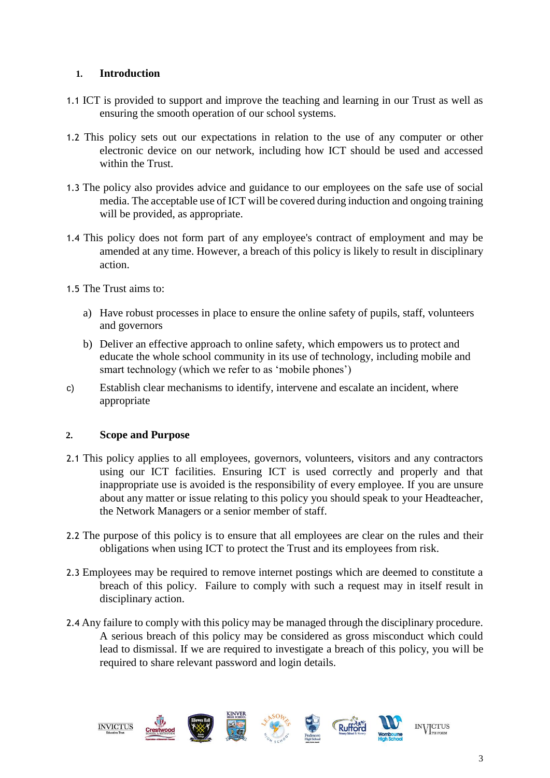#### <span id="page-2-0"></span> **1. Introduction**

- 1.1 ICT is provided to support and improve the teaching and learning in our Trust as well as ensuring the smooth operation of our school systems.
- 1.2 This policy sets out our expectations in relation to the use of any computer or other electronic device on our network, including how ICT should be used and accessed within the Trust.
- 1.3 The policy also provides advice and guidance to our employees on the safe use of social media. The acceptable use of ICT will be covered during induction and ongoing training will be provided, as appropriate.
- 1.4 This policy does not form part of any employee's contract of employment and may be amended at any time. However, a breach of this policy is likely to result in disciplinary action.
- 1.5 The Trust aims to:
	- a) Have robust processes in place to ensure the online safety of pupils, staff, volunteers and governors
	- b) Deliver an effective approach to online safety, which empowers us to protect and educate the whole school community in its use of technology, including mobile and smart technology (which we refer to as 'mobile phones')
- c) Establish clear mechanisms to identify, intervene and escalate an incident, where appropriate

#### <span id="page-2-1"></span>**2. Scope and Purpose**

- 2.1 This policy applies to all employees, governors, volunteers, visitors and any contractors using our ICT facilities. Ensuring ICT is used correctly and properly and that inappropriate use is avoided is the responsibility of every employee. If you are unsure about any matter or issue relating to this policy you should speak to your Headteacher, the Network Managers or a senior member of staff.
- 2.2 The purpose of this policy is to ensure that all employees are clear on the rules and their obligations when using ICT to protect the Trust and its employees from risk.
- 2.3 Employees may be required to remove internet postings which are deemed to constitute a breach of this policy. Failure to comply with such a request may in itself result in disciplinary action.
- 2.4 Any failure to comply with this policy may be managed through the disciplinary procedure. A serious breach of this policy may be considered as gross misconduct which could lead to dismissal. If we are required to investigate a breach of this policy, you will be required to share relevant password and login details.

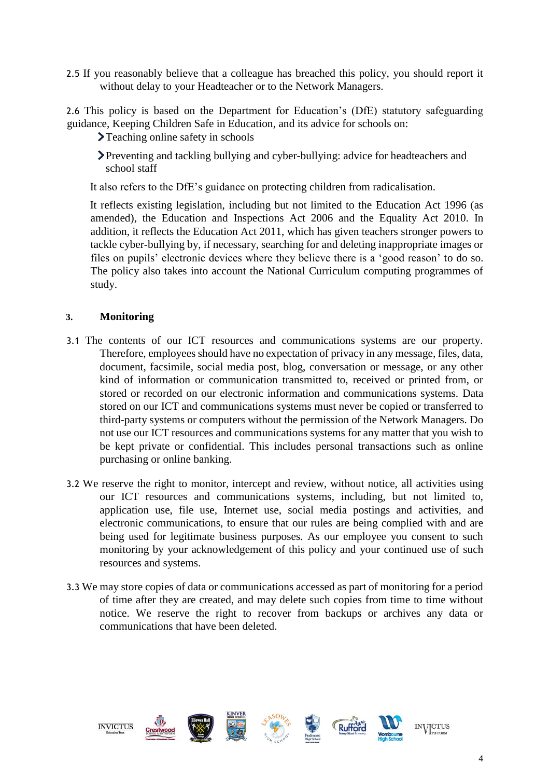2.5 If you reasonably believe that a colleague has breached this policy, you should report it without delay to your Headteacher or to the Network Managers.

2.6 This policy is based on the Department for Education's (DfE) statutory safeguarding guidance, Keeping Children Safe in Education, and its advice for schools on:

>Teaching online safety in schools

Preventing and tackling bullying and cyber-bullying: advice for headteachers and school staff

It also refers to the DfE's guidance on protecting children from radicalisation.

It reflects existing legislation, including but not limited to the Education Act 1996 (as amended), the Education and Inspections Act 2006 and the Equality Act 2010. In addition, it reflects the Education Act 2011, which has given teachers stronger powers to tackle cyber-bullying by, if necessary, searching for and deleting inappropriate images or files on pupils' electronic devices where they believe there is a 'good reason' to do so. The policy also takes into account the National Curriculum computing programmes of study.

#### <span id="page-3-0"></span>**3. Monitoring**

- 3.1 The contents of our ICT resources and communications systems are our property. Therefore, employees should have no expectation of privacy in any message, files, data, document, facsimile, social media post, blog, conversation or message, or any other kind of information or communication transmitted to, received or printed from, or stored or recorded on our electronic information and communications systems. Data stored on our ICT and communications systems must never be copied or transferred to third-party systems or computers without the permission of the Network Managers. Do not use our ICT resources and communications systems for any matter that you wish to be kept private or confidential. This includes personal transactions such as online purchasing or online banking.
- 3.2 We reserve the right to monitor, intercept and review, without notice, all activities using our ICT resources and communications systems, including, but not limited to, application use, file use, Internet use, social media postings and activities, and electronic communications, to ensure that our rules are being complied with and are being used for legitimate business purposes. As our employee you consent to such monitoring by your acknowledgement of this policy and your continued use of such resources and systems.
- 3.3 We may store copies of data or communications accessed as part of monitoring for a period of time after they are created, and may delete such copies from time to time without notice. We reserve the right to recover from backups or archives any data or communications that have been deleted.

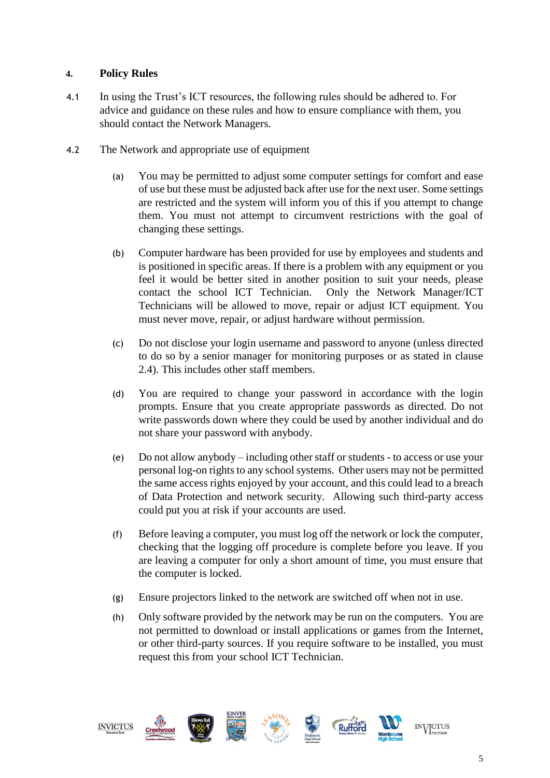#### <span id="page-4-0"></span>**4. Policy Rules**

- 4.1 In using the Trust's ICT resources, the following rules should be adhered to. For advice and guidance on these rules and how to ensure compliance with them, you should contact the Network Managers.
- 4.2 The Network and appropriate use of equipment
	- (a) You may be permitted to adjust some computer settings for comfort and ease of use but these must be adjusted back after use for the next user. Some settings are restricted and the system will inform you of this if you attempt to change them. You must not attempt to circumvent restrictions with the goal of changing these settings.
	- (b) Computer hardware has been provided for use by employees and students and is positioned in specific areas. If there is a problem with any equipment or you feel it would be better sited in another position to suit your needs, please contact the school ICT Technician. Only the Network Manager/ICT Technicians will be allowed to move, repair or adjust ICT equipment. You must never move, repair, or adjust hardware without permission.
	- (c) Do not disclose your login username and password to anyone (unless directed to do so by a senior manager for monitoring purposes or as stated in clause 2.4). This includes other staff members.
	- (d) You are required to change your password in accordance with the login prompts. Ensure that you create appropriate passwords as directed. Do not write passwords down where they could be used by another individual and do not share your password with anybody.
	- (e) Do not allow anybody including other staff or students to access or use your personal log-on rights to any school systems. Other users may not be permitted the same access rights enjoyed by your account, and this could lead to a breach of Data Protection and network security. Allowing such third-party access could put you at risk if your accounts are used.
	- (f) Before leaving a computer, you must log off the network or lock the computer, checking that the logging off procedure is complete before you leave. If you are leaving a computer for only a short amount of time, you must ensure that the computer is locked.
	- (g) Ensure projectors linked to the network are switched off when not in use.
	- (h) Only software provided by the network may be run on the computers. You are not permitted to download or install applications or games from the Internet, or other third-party sources. If you require software to be installed, you must request this from your school ICT Technician.

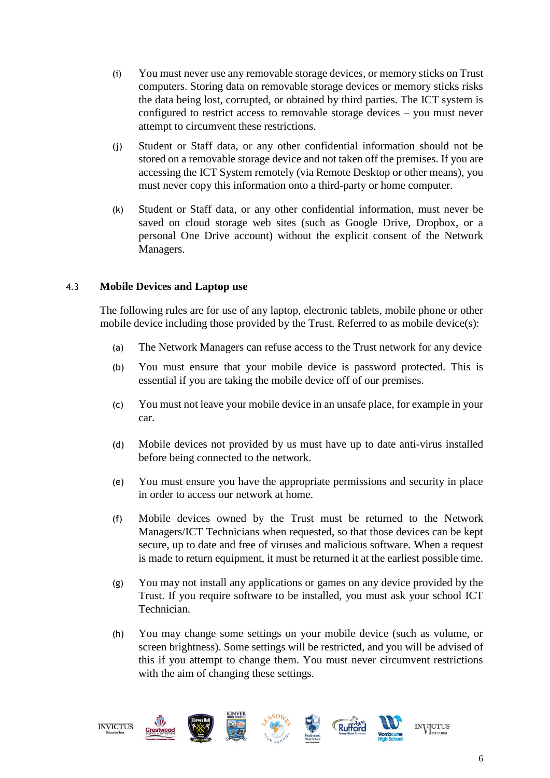- (i) You must never use any removable storage devices, or memory sticks on Trust computers. Storing data on removable storage devices or memory sticks risks the data being lost, corrupted, or obtained by third parties. The ICT system is configured to restrict access to removable storage devices – you must never attempt to circumvent these restrictions.
- (j) Student or Staff data, or any other confidential information should not be stored on a removable storage device and not taken off the premises. If you are accessing the ICT System remotely (via Remote Desktop or other means), you must never copy this information onto a third-party or home computer.
- (k) Student or Staff data, or any other confidential information, must never be saved on cloud storage web sites (such as Google Drive, Dropbox, or a personal One Drive account) without the explicit consent of the Network Managers.

#### 4.3 **Mobile Devices and Laptop use**

The following rules are for use of any laptop, electronic tablets, mobile phone or other mobile device including those provided by the Trust. Referred to as mobile device(s):

- (a) The Network Managers can refuse access to the Trust network for any device
- (b) You must ensure that your mobile device is password protected. This is essential if you are taking the mobile device off of our premises.
- (c) You must not leave your mobile device in an unsafe place, for example in your car.
- (d) Mobile devices not provided by us must have up to date anti-virus installed before being connected to the network.
- (e) You must ensure you have the appropriate permissions and security in place in order to access our network at home.
- (f) Mobile devices owned by the Trust must be returned to the Network Managers/ICT Technicians when requested, so that those devices can be kept secure, up to date and free of viruses and malicious software. When a request is made to return equipment, it must be returned it at the earliest possible time.
- (g) You may not install any applications or games on any device provided by the Trust. If you require software to be installed, you must ask your school ICT Technician.
- (h) You may change some settings on your mobile device (such as volume, or screen brightness). Some settings will be restricted, and you will be advised of this if you attempt to change them. You must never circumvent restrictions with the aim of changing these settings.

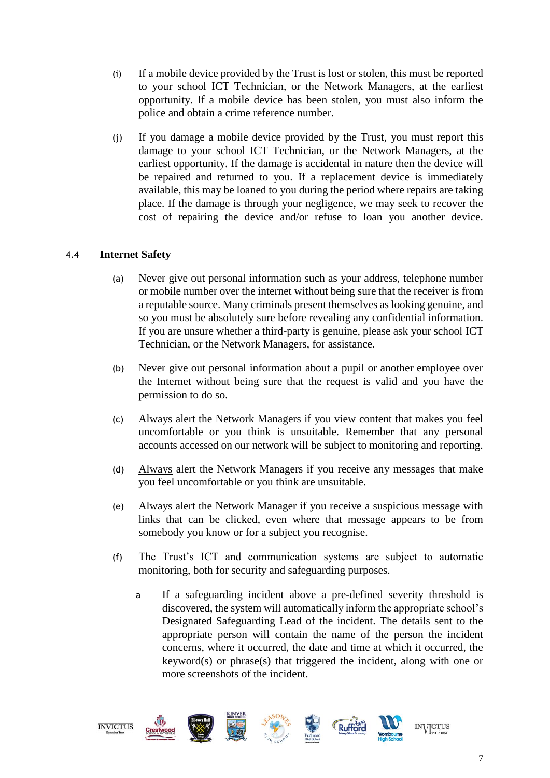- (i) If a mobile device provided by the Trust is lost or stolen, this must be reported to your school ICT Technician, or the Network Managers, at the earliest opportunity. If a mobile device has been stolen, you must also inform the police and obtain a crime reference number.
- (j) If you damage a mobile device provided by the Trust, you must report this damage to your school ICT Technician, or the Network Managers, at the earliest opportunity. If the damage is accidental in nature then the device will be repaired and returned to you. If a replacement device is immediately available, this may be loaned to you during the period where repairs are taking place. If the damage is through your negligence, we may seek to recover the cost of repairing the device and/or refuse to loan you another device.

#### 4.4 **Internet Safety**

- (a) Never give out personal information such as your address, telephone number or mobile number over the internet without being sure that the receiver is from a reputable source. Many criminals present themselves as looking genuine, and so you must be absolutely sure before revealing any confidential information. If you are unsure whether a third-party is genuine, please ask your school ICT Technician, or the Network Managers, for assistance.
- (b) Never give out personal information about a pupil or another employee over the Internet without being sure that the request is valid and you have the permission to do so.
- (c) Always alert the Network Managers if you view content that makes you feel uncomfortable or you think is unsuitable. Remember that any personal accounts accessed on our network will be subject to monitoring and reporting.
- (d) Always alert the Network Managers if you receive any messages that make you feel uncomfortable or you think are unsuitable.
- (e) Always alert the Network Manager if you receive a suspicious message with links that can be clicked, even where that message appears to be from somebody you know or for a subject you recognise.
- (f) The Trust's ICT and communication systems are subject to automatic monitoring, both for security and safeguarding purposes.
	- a If a safeguarding incident above a pre-defined severity threshold is discovered, the system will automatically inform the appropriate school's Designated Safeguarding Lead of the incident. The details sent to the appropriate person will contain the name of the person the incident concerns, where it occurred, the date and time at which it occurred, the keyword(s) or phrase(s) that triggered the incident, along with one or more screenshots of the incident.

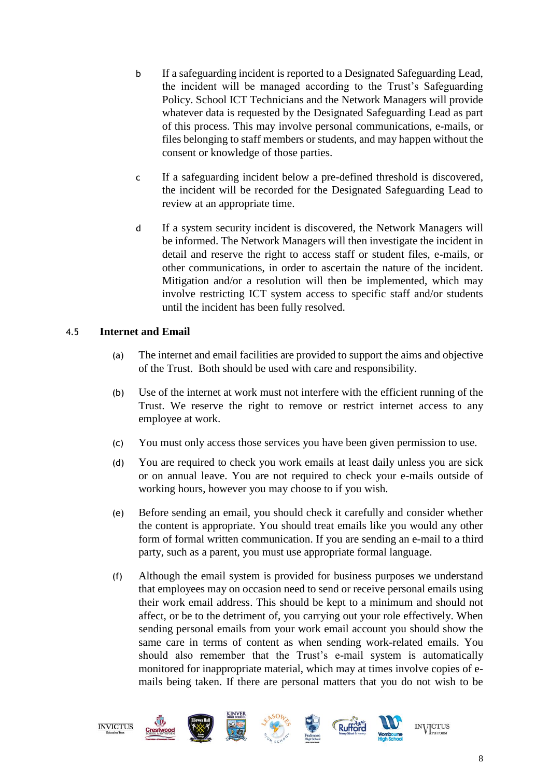- b If a safeguarding incident is reported to a Designated Safeguarding Lead, the incident will be managed according to the Trust's Safeguarding Policy. School ICT Technicians and the Network Managers will provide whatever data is requested by the Designated Safeguarding Lead as part of this process. This may involve personal communications, e-mails, or files belonging to staff members or students, and may happen without the consent or knowledge of those parties.
- c If a safeguarding incident below a pre-defined threshold is discovered, the incident will be recorded for the Designated Safeguarding Lead to review at an appropriate time.
- d If a system security incident is discovered, the Network Managers will be informed. The Network Managers will then investigate the incident in detail and reserve the right to access staff or student files, e-mails, or other communications, in order to ascertain the nature of the incident. Mitigation and/or a resolution will then be implemented, which may involve restricting ICT system access to specific staff and/or students until the incident has been fully resolved.

#### 4.5 **Internet and Email**

- (a) The internet and email facilities are provided to support the aims and objective of the Trust. Both should be used with care and responsibility.
- (b) Use of the internet at work must not interfere with the efficient running of the Trust. We reserve the right to remove or restrict internet access to any employee at work.
- (c) You must only access those services you have been given permission to use.
- (d) You are required to check you work emails at least daily unless you are sick or on annual leave. You are not required to check your e-mails outside of working hours, however you may choose to if you wish.
- (e) Before sending an email, you should check it carefully and consider whether the content is appropriate. You should treat emails like you would any other form of formal written communication. If you are sending an e-mail to a third party, such as a parent, you must use appropriate formal language.
- (f) Although the email system is provided for business purposes we understand that employees may on occasion need to send or receive personal emails using their work email address. This should be kept to a minimum and should not affect, or be to the detriment of, you carrying out your role effectively. When sending personal emails from your work email account you should show the same care in terms of content as when sending work-related emails. You should also remember that the Trust's e-mail system is automatically monitored for inappropriate material, which may at times involve copies of emails being taken. If there are personal matters that you do not wish to be

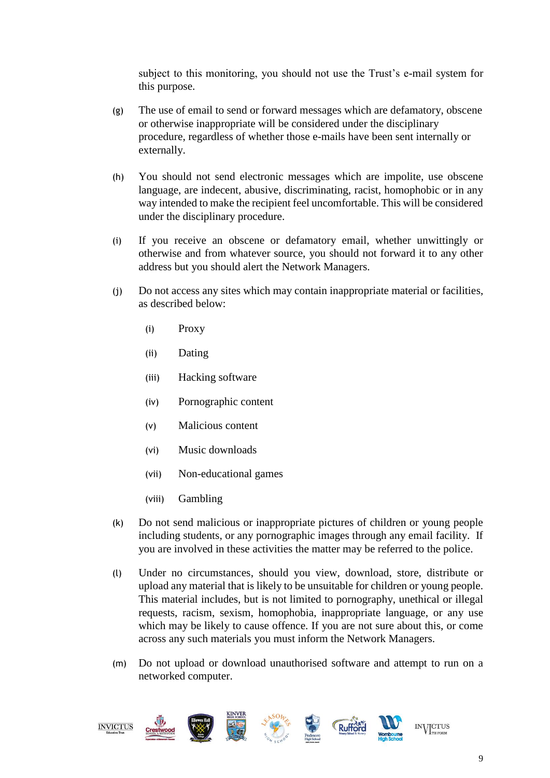subject to this monitoring, you should not use the Trust's e-mail system for this purpose.

- (g) The use of email to send or forward messages which are defamatory, obscene or otherwise inappropriate will be considered under the disciplinary procedure, regardless of whether those e-mails have been sent internally or externally.
- (h) You should not send electronic messages which are impolite, use obscene language, are indecent, abusive, discriminating, racist, homophobic or in any way intended to make the recipient feel uncomfortable. This will be considered under the disciplinary procedure.
- (i) If you receive an obscene or defamatory email, whether unwittingly or otherwise and from whatever source, you should not forward it to any other address but you should alert the Network Managers.
- (j) Do not access any sites which may contain inappropriate material or facilities, as described below:
	- (i) Proxy
	- (ii) Dating
	- (iii) Hacking software
	- (iv) Pornographic content
	- (v) Malicious content
	- (vi) Music downloads
	- (vii) Non-educational games
	- (viii) Gambling
- (k) Do not send malicious or inappropriate pictures of children or young people including students, or any pornographic images through any email facility. If you are involved in these activities the matter may be referred to the police.
- (l) Under no circumstances, should you view, download, store, distribute or upload any material that is likely to be unsuitable for children or young people. This material includes, but is not limited to pornography, unethical or illegal requests, racism, sexism, homophobia, inappropriate language, or any use which may be likely to cause offence. If you are not sure about this, or come across any such materials you must inform the Network Managers.
- (m) Do not upload or download unauthorised software and attempt to run on a networked computer.

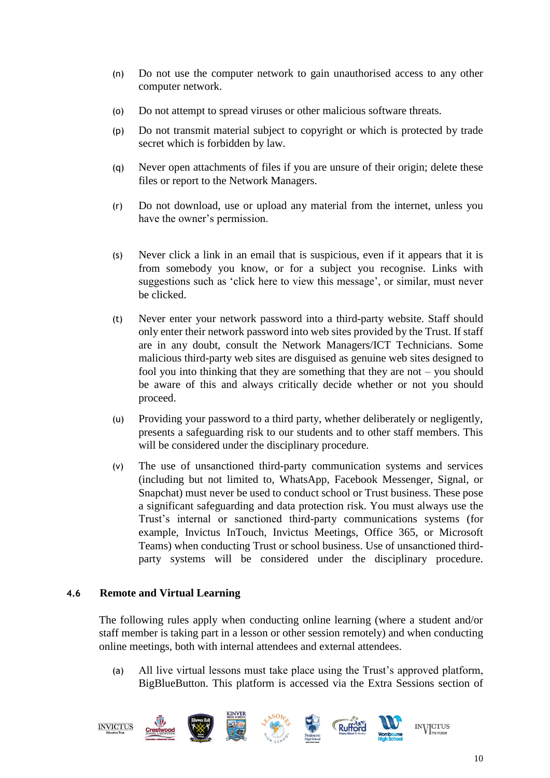- (n) Do not use the computer network to gain unauthorised access to any other computer network.
- (o) Do not attempt to spread viruses or other malicious software threats.
- (p) Do not transmit material subject to copyright or which is protected by trade secret which is forbidden by law.
- (q) Never open attachments of files if you are unsure of their origin; delete these files or report to the Network Managers.
- (r) Do not download, use or upload any material from the internet, unless you have the owner's permission.
- (s) Never click a link in an email that is suspicious, even if it appears that it is from somebody you know, or for a subject you recognise. Links with suggestions such as 'click here to view this message', or similar, must never be clicked.
- (t) Never enter your network password into a third-party website. Staff should only enter their network password into web sites provided by the Trust. If staff are in any doubt, consult the Network Managers/ICT Technicians. Some malicious third-party web sites are disguised as genuine web sites designed to fool you into thinking that they are something that they are not – you should be aware of this and always critically decide whether or not you should proceed.
- (u) Providing your password to a third party, whether deliberately or negligently, presents a safeguarding risk to our students and to other staff members. This will be considered under the disciplinary procedure.
- (v) The use of unsanctioned third-party communication systems and services (including but not limited to, WhatsApp, Facebook Messenger, Signal, or Snapchat) must never be used to conduct school or Trust business. These pose a significant safeguarding and data protection risk. You must always use the Trust's internal or sanctioned third-party communications systems (for example, Invictus InTouch, Invictus Meetings, Office 365, or Microsoft Teams) when conducting Trust or school business. Use of unsanctioned thirdparty systems will be considered under the disciplinary procedure.

#### **4.6 Remote and Virtual Learning**

The following rules apply when conducting online learning (where a student and/or staff member is taking part in a lesson or other session remotely) and when conducting online meetings, both with internal attendees and external attendees.

(a) All live virtual lessons must take place using the Trust's approved platform, BigBlueButton. This platform is accessed via the Extra Sessions section of

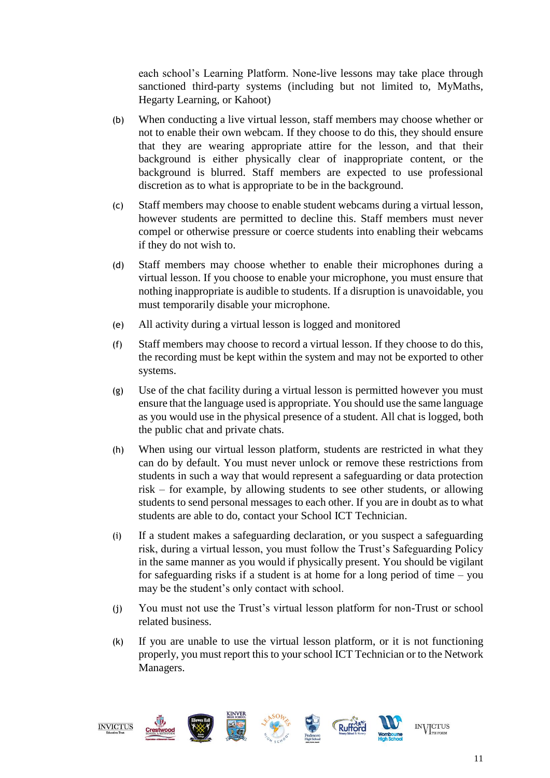each school's Learning Platform. None-live lessons may take place through sanctioned third-party systems (including but not limited to, MyMaths, Hegarty Learning, or Kahoot)

- (b) When conducting a live virtual lesson, staff members may choose whether or not to enable their own webcam. If they choose to do this, they should ensure that they are wearing appropriate attire for the lesson, and that their background is either physically clear of inappropriate content, or the background is blurred. Staff members are expected to use professional discretion as to what is appropriate to be in the background.
- (c) Staff members may choose to enable student webcams during a virtual lesson, however students are permitted to decline this. Staff members must never compel or otherwise pressure or coerce students into enabling their webcams if they do not wish to.
- (d) Staff members may choose whether to enable their microphones during a virtual lesson. If you choose to enable your microphone, you must ensure that nothing inappropriate is audible to students. If a disruption is unavoidable, you must temporarily disable your microphone.
- (e) All activity during a virtual lesson is logged and monitored
- (f) Staff members may choose to record a virtual lesson. If they choose to do this, the recording must be kept within the system and may not be exported to other systems.
- (g) Use of the chat facility during a virtual lesson is permitted however you must ensure that the language used is appropriate. You should use the same language as you would use in the physical presence of a student. All chat is logged, both the public chat and private chats.
- (h) When using our virtual lesson platform, students are restricted in what they can do by default. You must never unlock or remove these restrictions from students in such a way that would represent a safeguarding or data protection risk – for example, by allowing students to see other students, or allowing students to send personal messages to each other. If you are in doubt as to what students are able to do, contact your School ICT Technician.
- (i) If a student makes a safeguarding declaration, or you suspect a safeguarding risk, during a virtual lesson, you must follow the Trust's Safeguarding Policy in the same manner as you would if physically present. You should be vigilant for safeguarding risks if a student is at home for a long period of time – you may be the student's only contact with school.
- (j) You must not use the Trust's virtual lesson platform for non-Trust or school related business.
- (k) If you are unable to use the virtual lesson platform, or it is not functioning properly, you must report this to your school ICT Technician or to the Network Managers.

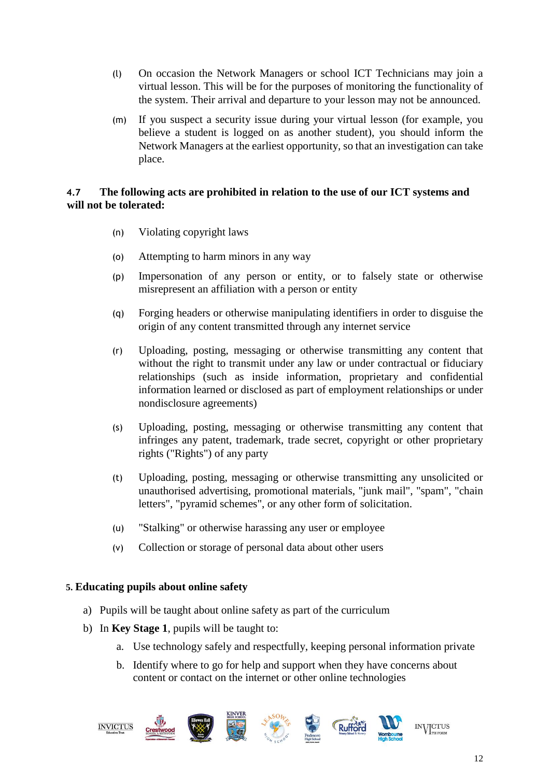- (l) On occasion the Network Managers or school ICT Technicians may join a virtual lesson. This will be for the purposes of monitoring the functionality of the system. Their arrival and departure to your lesson may not be announced.
- (m) If you suspect a security issue during your virtual lesson (for example, you believe a student is logged on as another student), you should inform the Network Managers at the earliest opportunity, so that an investigation can take place.

#### **4.7 The following acts are prohibited in relation to the use of our ICT systems and will not be tolerated:**

- (n) Violating copyright laws
- (o) Attempting to harm minors in any way
- (p) Impersonation of any person or entity, or to falsely state or otherwise misrepresent an affiliation with a person or entity
- (q) Forging headers or otherwise manipulating identifiers in order to disguise the origin of any content transmitted through any internet service
- (r) Uploading, posting, messaging or otherwise transmitting any content that without the right to transmit under any law or under contractual or fiduciary relationships (such as inside information, proprietary and confidential information learned or disclosed as part of employment relationships or under nondisclosure agreements)
- (s) Uploading, posting, messaging or otherwise transmitting any content that infringes any patent, trademark, trade secret, copyright or other proprietary rights ("Rights") of any party
- (t) Uploading, posting, messaging or otherwise transmitting any unsolicited or unauthorised advertising, promotional materials, "junk mail", "spam", "chain letters", "pyramid schemes", or any other form of solicitation.
- (u) "Stalking" or otherwise harassing any user or employee
- (v) Collection or storage of personal data about other users

#### <span id="page-11-0"></span>**5. Educating pupils about online safety**

- a) Pupils will be taught about online safety as part of the curriculum
- b) In **Key Stage 1**, pupils will be taught to:
	- a. Use technology safely and respectfully, keeping personal information private
	- b. Identify where to go for help and support when they have concerns about content or contact on the internet or other online technologies

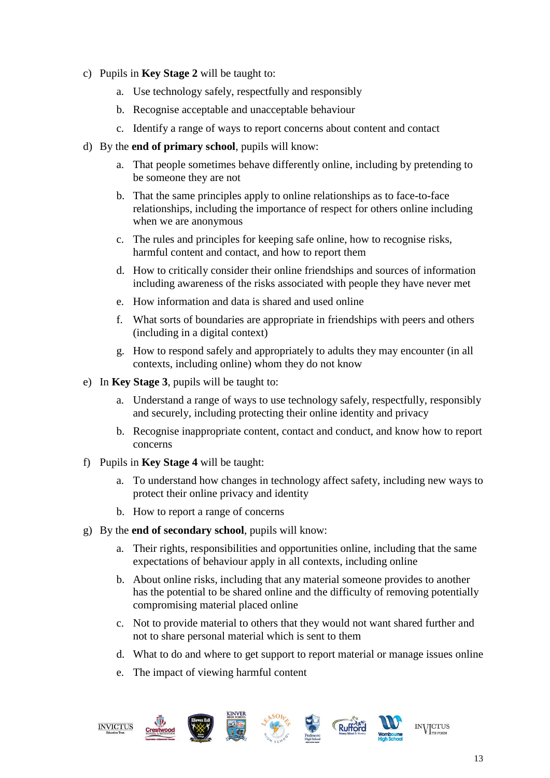- c) Pupils in **Key Stage 2** will be taught to:
	- a. Use technology safely, respectfully and responsibly
	- b. Recognise acceptable and unacceptable behaviour
	- c. Identify a range of ways to report concerns about content and contact
- d) By the **end of primary school**, pupils will know:
	- a. That people sometimes behave differently online, including by pretending to be someone they are not
	- b. That the same principles apply to online relationships as to face-to-face relationships, including the importance of respect for others online including when we are anonymous
	- c. The rules and principles for keeping safe online, how to recognise risks, harmful content and contact, and how to report them
	- d. How to critically consider their online friendships and sources of information including awareness of the risks associated with people they have never met
	- e. How information and data is shared and used online
	- f. What sorts of boundaries are appropriate in friendships with peers and others (including in a digital context)
	- g. How to respond safely and appropriately to adults they may encounter (in all contexts, including online) whom they do not know
- e) In **Key Stage 3**, pupils will be taught to:
	- a. Understand a range of ways to use technology safely, respectfully, responsibly and securely, including protecting their online identity and privacy
	- b. Recognise inappropriate content, contact and conduct, and know how to report concerns
- f) Pupils in **Key Stage 4** will be taught:
	- a. To understand how changes in technology affect safety, including new ways to protect their online privacy and identity
	- b. How to report a range of concerns
- g) By the **end of secondary school**, pupils will know:
	- a. Their rights, responsibilities and opportunities online, including that the same expectations of behaviour apply in all contexts, including online
	- b. About online risks, including that any material someone provides to another has the potential to be shared online and the difficulty of removing potentially compromising material placed online
	- c. Not to provide material to others that they would not want shared further and not to share personal material which is sent to them
	- d. What to do and where to get support to report material or manage issues online
	- e. The impact of viewing harmful content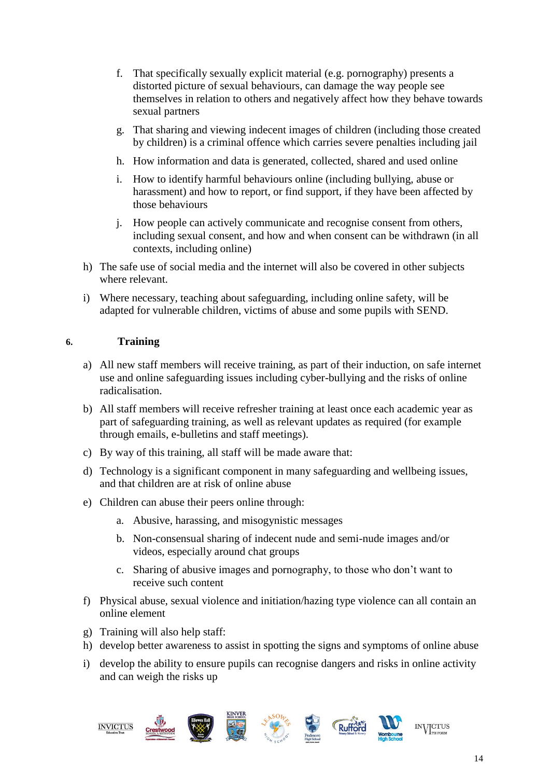- f. That specifically sexually explicit material (e.g. pornography) presents a distorted picture of sexual behaviours, can damage the way people see themselves in relation to others and negatively affect how they behave towards sexual partners
- g. That sharing and viewing indecent images of children (including those created by children) is a criminal offence which carries severe penalties including jail
- h. How information and data is generated, collected, shared and used online
- i. How to identify harmful behaviours online (including bullying, abuse or harassment) and how to report, or find support, if they have been affected by those behaviours
- j. How people can actively communicate and recognise consent from others, including sexual consent, and how and when consent can be withdrawn (in all contexts, including online)
- h) The safe use of social media and the internet will also be covered in other subjects where relevant.
- i) Where necessary, teaching about safeguarding, including online safety, will be adapted for vulnerable children, victims of abuse and some pupils with SEND.

#### <span id="page-13-0"></span>**6. Training**

- a) All new staff members will receive training, as part of their induction, on safe internet use and online safeguarding issues including cyber-bullying and the risks of online radicalisation.
- b) All staff members will receive refresher training at least once each academic year as part of safeguarding training, as well as relevant updates as required (for example through emails, e-bulletins and staff meetings).
- c) By way of this training, all staff will be made aware that:
- d) Technology is a significant component in many safeguarding and wellbeing issues, and that children are at risk of online abuse
- e) Children can abuse their peers online through:
	- a. Abusive, harassing, and misogynistic messages
	- b. Non-consensual sharing of indecent nude and semi-nude images and/or videos, especially around chat groups
	- c. Sharing of abusive images and pornography, to those who don't want to receive such content
- f) Physical abuse, sexual violence and initiation/hazing type violence can all contain an online element
- g) Training will also help staff:
- h) develop better awareness to assist in spotting the signs and symptoms of online abuse
- i) develop the ability to ensure pupils can recognise dangers and risks in online activity and can weigh the risks up

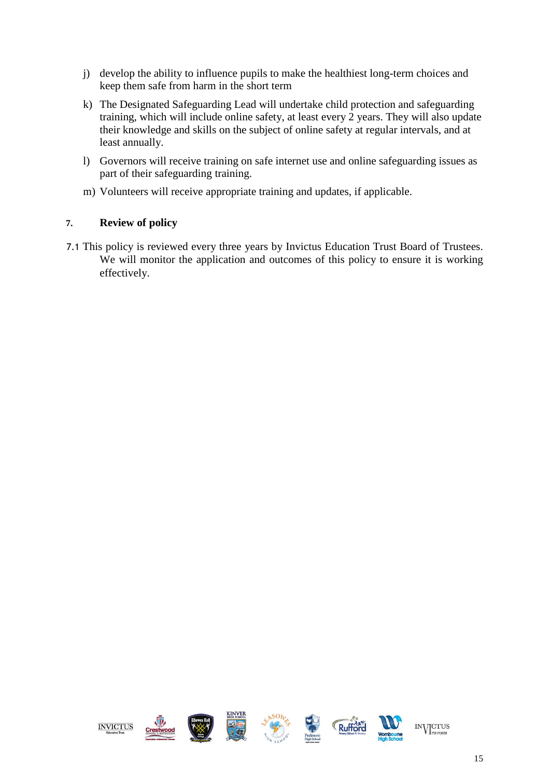- j) develop the ability to influence pupils to make the healthiest long-term choices and keep them safe from harm in the short term
- k) The Designated Safeguarding Lead will undertake child protection and safeguarding training, which will include online safety, at least every 2 years. They will also update their knowledge and skills on the subject of online safety at regular intervals, and at least annually.
- l) Governors will receive training on safe internet use and online safeguarding issues as part of their safeguarding training.
- m) Volunteers will receive appropriate training and updates, if applicable.

#### <span id="page-14-0"></span>**7. Review of policy**

7.1 This policy is reviewed every three years by Invictus Education Trust Board of Trustees. We will monitor the application and outcomes of this policy to ensure it is working effectively.

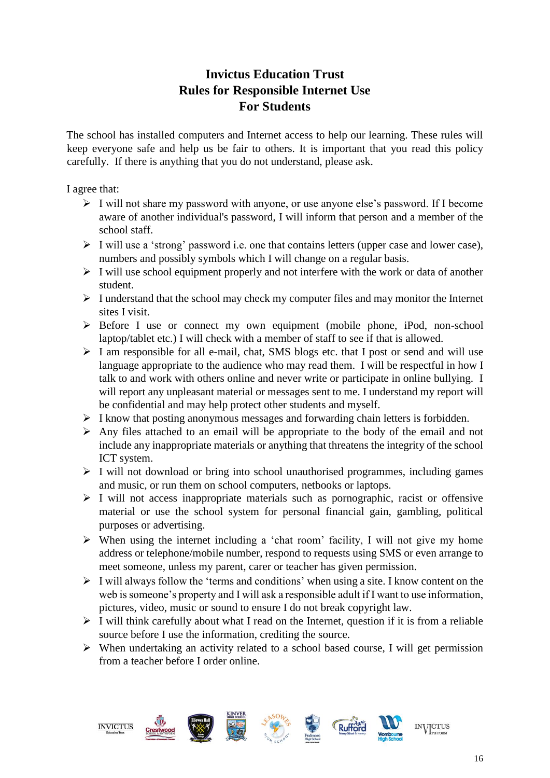# **Invictus Education Trust Rules for Responsible Internet Use For Students**

The school has installed computers and Internet access to help our learning. These rules will keep everyone safe and help us be fair to others. It is important that you read this policy carefully. If there is anything that you do not understand, please ask.

I agree that:

- ➢ I will not share my password with anyone, or use anyone else's password. If I become aware of another individual's password, I will inform that person and a member of the school staff.
- ➢ I will use a 'strong' password i.e. one that contains letters (upper case and lower case), numbers and possibly symbols which I will change on a regular basis.
- ➢ I will use school equipment properly and not interfere with the work or data of another student.
- $\triangleright$  I understand that the school may check my computer files and may monitor the Internet sites I visit.
- ➢ Before I use or connect my own equipment (mobile phone, iPod, non-school laptop/tablet etc.) I will check with a member of staff to see if that is allowed.
- $\triangleright$  I am responsible for all e-mail, chat, SMS blogs etc. that I post or send and will use language appropriate to the audience who may read them. I will be respectful in how I talk to and work with others online and never write or participate in online bullying. I will report any unpleasant material or messages sent to me. I understand my report will be confidential and may help protect other students and myself.
- ➢ I know that posting anonymous messages and forwarding chain letters is forbidden.
- $\triangleright$  Any files attached to an email will be appropriate to the body of the email and not include any inappropriate materials or anything that threatens the integrity of the school ICT system.
- ➢ I will not download or bring into school unauthorised programmes, including games and music, or run them on school computers, netbooks or laptops.
- ➢ I will not access inappropriate materials such as pornographic, racist or offensive material or use the school system for personal financial gain, gambling, political purposes or advertising.
- ➢ When using the internet including a 'chat room' facility, I will not give my home address or telephone/mobile number, respond to requests using SMS or even arrange to meet someone, unless my parent, carer or teacher has given permission.
- ➢ I will always follow the 'terms and conditions' when using a site. I know content on the web is someone's property and I will ask a responsible adult if I want to use information, pictures, video, music or sound to ensure I do not break copyright law.
- $\triangleright$  I will think carefully about what I read on the Internet, question if it is from a reliable source before I use the information, crediting the source.
- ➢ When undertaking an activity related to a school based course, I will get permission from a teacher before I order online.

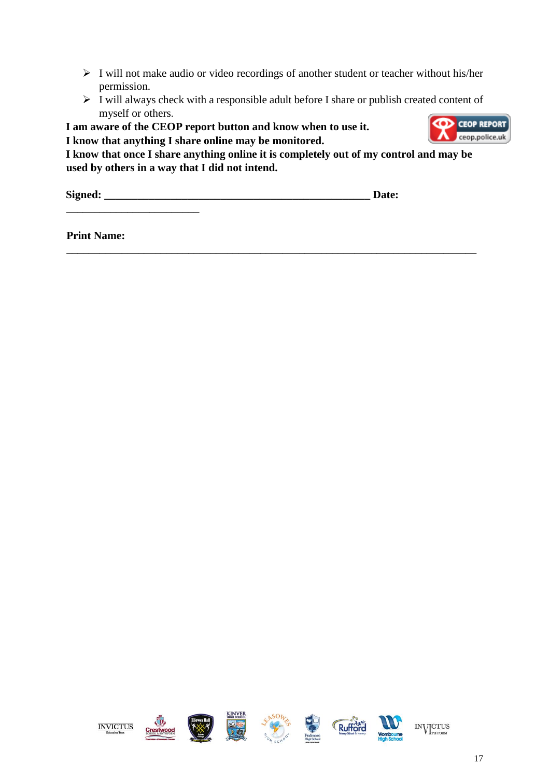- ➢ I will not make audio or video recordings of another student or teacher without his/her permission.
- ➢ I will always check with a responsible adult before I share or publish created content of myself or others. **CD** CEOP REPORT

**I am aware of the CEOP report button and know when to use it.** 

**I know that anything I share online may be monitored.** 

**I know that once I share anything online it is completely out of my control and may be used by others in a way that I did not intend.** 

**\_\_\_\_\_\_\_\_\_\_\_\_\_\_\_\_\_\_\_\_\_\_\_\_\_\_\_\_\_\_\_\_\_\_\_\_\_\_\_\_\_\_\_\_\_\_\_\_\_\_\_\_\_\_\_\_\_\_\_\_\_\_\_\_\_\_\_\_\_\_\_\_\_\_** 

**Signed: \_\_\_\_\_\_\_\_\_\_\_\_\_\_\_\_\_\_\_\_\_\_\_\_\_\_\_\_\_\_\_\_\_\_\_\_\_\_\_\_\_\_\_\_\_\_\_\_ Date:** 

ceop.police.uk

**Print Name:** 

**\_\_\_\_\_\_\_\_\_\_\_\_\_\_\_\_\_\_\_\_\_\_\_\_** 

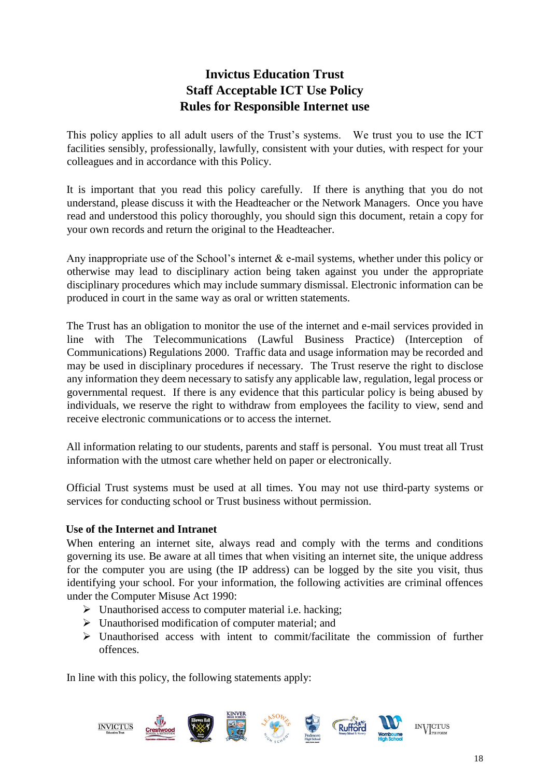## **Invictus Education Trust Staff Acceptable ICT Use Policy Rules for Responsible Internet use**

This policy applies to all adult users of the Trust's systems. We trust you to use the ICT facilities sensibly, professionally, lawfully, consistent with your duties, with respect for your colleagues and in accordance with this Policy.

It is important that you read this policy carefully. If there is anything that you do not understand, please discuss it with the Headteacher or the Network Managers. Once you have read and understood this policy thoroughly, you should sign this document, retain a copy for your own records and return the original to the Headteacher.

Any inappropriate use of the School's internet & e-mail systems, whether under this policy or otherwise may lead to disciplinary action being taken against you under the appropriate disciplinary procedures which may include summary dismissal. Electronic information can be produced in court in the same way as oral or written statements.

The Trust has an obligation to monitor the use of the internet and e-mail services provided in line with The Telecommunications (Lawful Business Practice) (Interception of Communications) Regulations 2000. Traffic data and usage information may be recorded and may be used in disciplinary procedures if necessary. The Trust reserve the right to disclose any information they deem necessary to satisfy any applicable law, regulation, legal process or governmental request. If there is any evidence that this particular policy is being abused by individuals, we reserve the right to withdraw from employees the facility to view, send and receive electronic communications or to access the internet.

All information relating to our students, parents and staff is personal. You must treat all Trust information with the utmost care whether held on paper or electronically.

Official Trust systems must be used at all times. You may not use third-party systems or services for conducting school or Trust business without permission.

#### **Use of the Internet and Intranet**

When entering an internet site, always read and comply with the terms and conditions governing its use. Be aware at all times that when visiting an internet site, the unique address for the computer you are using (the IP address) can be logged by the site you visit, thus identifying your school. For your information, the following activities are criminal offences under the Computer Misuse Act 1990:

- $\triangleright$  Unauthorised access to computer material i.e. hacking;
- ➢ Unauthorised modification of computer material; and
- $\triangleright$  Unauthorised access with intent to commit/facilitate the commission of further offences.

In line with this policy, the following statements apply:

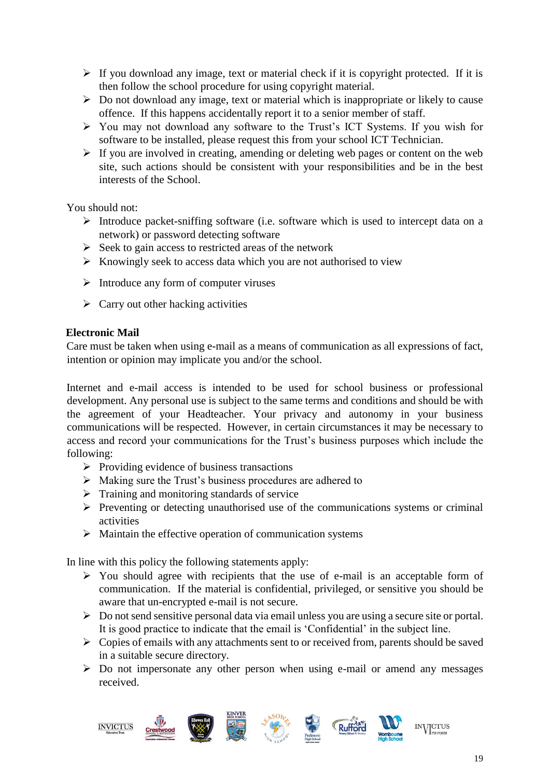- $\triangleright$  If you download any image, text or material check if it is copyright protected. If it is then follow the school procedure for using copyright material.
- $\triangleright$  Do not download any image, text or material which is inappropriate or likely to cause offence. If this happens accidentally report it to a senior member of staff.
- ➢ You may not download any software to the Trust's ICT Systems. If you wish for software to be installed, please request this from your school ICT Technician.
- ➢ If you are involved in creating, amending or deleting web pages or content on the web site, such actions should be consistent with your responsibilities and be in the best interests of the School.

You should not:

- ➢ Introduce packet-sniffing software (i.e. software which is used to intercept data on a network) or password detecting software
- $\triangleright$  Seek to gain access to restricted areas of the network
- ➢ Knowingly seek to access data which you are not authorised to view
- ➢ Introduce any form of computer viruses
- $\triangleright$  Carry out other hacking activities

#### **Electronic Mail**

Care must be taken when using e-mail as a means of communication as all expressions of fact, intention or opinion may implicate you and/or the school.

Internet and e-mail access is intended to be used for school business or professional development. Any personal use is subject to the same terms and conditions and should be with the agreement of your Headteacher. Your privacy and autonomy in your business communications will be respected. However, in certain circumstances it may be necessary to access and record your communications for the Trust's business purposes which include the following:

- $\triangleright$  Providing evidence of business transactions
- ➢ Making sure the Trust's business procedures are adhered to
- ➢ Training and monitoring standards of service
- ➢ Preventing or detecting unauthorised use of the communications systems or criminal activities
- ➢ Maintain the effective operation of communication systems

In line with this policy the following statements apply:

- ➢ You should agree with recipients that the use of e-mail is an acceptable form of communication. If the material is confidential, privileged, or sensitive you should be aware that un-encrypted e-mail is not secure.
- ➢ Do not send sensitive personal data via email unless you are using a secure site or portal. It is good practice to indicate that the email is 'Confidential' in the subject line.
- ➢ Copies of emails with any attachments sent to or received from, parents should be saved in a suitable secure directory.
- ➢ Do not impersonate any other person when using e-mail or amend any messages received.

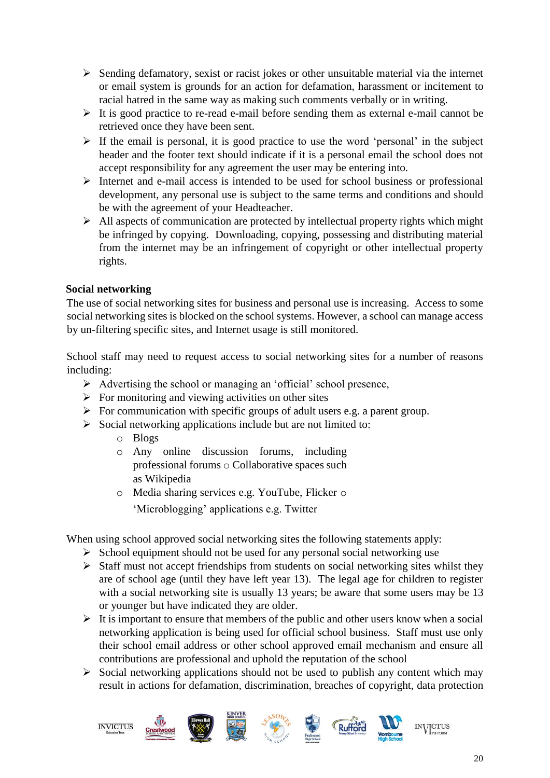- ➢ Sending defamatory, sexist or racist jokes or other unsuitable material via the internet or email system is grounds for an action for defamation, harassment or incitement to racial hatred in the same way as making such comments verbally or in writing.
- ➢ It is good practice to re-read e-mail before sending them as external e-mail cannot be retrieved once they have been sent.
- $\triangleright$  If the email is personal, it is good practice to use the word 'personal' in the subject header and the footer text should indicate if it is a personal email the school does not accept responsibility for any agreement the user may be entering into.
- ➢ Internet and e-mail access is intended to be used for school business or professional development, any personal use is subject to the same terms and conditions and should be with the agreement of your Headteacher.
- ➢ All aspects of communication are protected by intellectual property rights which might be infringed by copying. Downloading, copying, possessing and distributing material from the internet may be an infringement of copyright or other intellectual property rights.

#### **Social networking**

The use of social networking sites for business and personal use is increasing. Access to some social networking sites is blocked on the school systems. However, a school can manage access by un-filtering specific sites, and Internet usage is still monitored.

School staff may need to request access to social networking sites for a number of reasons including:

- ➢ Advertising the school or managing an 'official' school presence,
- $\triangleright$  For monitoring and viewing activities on other sites
- $\triangleright$  For communication with specific groups of adult users e.g. a parent group.
- $\triangleright$  Social networking applications include but are not limited to:
	- o Blogs
	- o Any online discussion forums, including professional forums o Collaborative spaces such as Wikipedia
	- o Media sharing services e.g. YouTube, Flicker o
		- 'Microblogging' applications e.g. Twitter

When using school approved social networking sites the following statements apply:

- $\triangleright$  School equipment should not be used for any personal social networking use
- ➢ Staff must not accept friendships from students on social networking sites whilst they are of school age (until they have left year 13). The legal age for children to register with a social networking site is usually 13 years; be aware that some users may be 13 or younger but have indicated they are older.
- $\triangleright$  It is important to ensure that members of the public and other users know when a social networking application is being used for official school business. Staff must use only their school email address or other school approved email mechanism and ensure all contributions are professional and uphold the reputation of the school
- $\triangleright$  Social networking applications should not be used to publish any content which may result in actions for defamation, discrimination, breaches of copyright, data protection

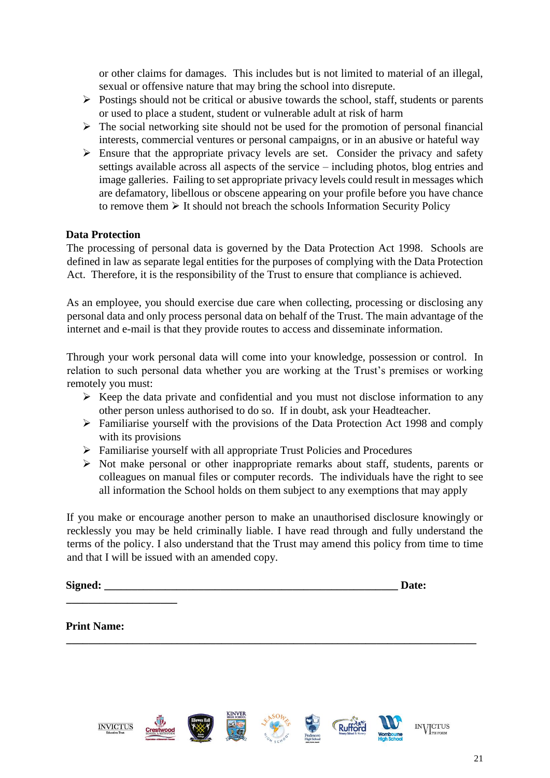or other claims for damages. This includes but is not limited to material of an illegal, sexual or offensive nature that may bring the school into disrepute.

- ➢ Postings should not be critical or abusive towards the school, staff, students or parents or used to place a student, student or vulnerable adult at risk of harm
- $\triangleright$  The social networking site should not be used for the promotion of personal financial interests, commercial ventures or personal campaigns, or in an abusive or hateful way
- $\triangleright$  Ensure that the appropriate privacy levels are set. Consider the privacy and safety settings available across all aspects of the service – including photos, blog entries and image galleries. Failing to set appropriate privacy levels could result in messages which are defamatory, libellous or obscene appearing on your profile before you have chance to remove them  $\triangleright$  It should not breach the schools Information Security Policy

#### **Data Protection**

The processing of personal data is governed by the Data Protection Act 1998. Schools are defined in law as separate legal entities for the purposes of complying with the Data Protection Act. Therefore, it is the responsibility of the Trust to ensure that compliance is achieved.

As an employee, you should exercise due care when collecting, processing or disclosing any personal data and only process personal data on behalf of the Trust. The main advantage of the internet and e-mail is that they provide routes to access and disseminate information.

Through your work personal data will come into your knowledge, possession or control. In relation to such personal data whether you are working at the Trust's premises or working remotely you must:

- $\triangleright$  Keep the data private and confidential and you must not disclose information to any other person unless authorised to do so. If in doubt, ask your Headteacher.
- ➢ Familiarise yourself with the provisions of the Data Protection Act 1998 and comply with its provisions
- ➢ Familiarise yourself with all appropriate Trust Policies and Procedures
- ➢ Not make personal or other inappropriate remarks about staff, students, parents or colleagues on manual files or computer records. The individuals have the right to see all information the School holds on them subject to any exemptions that may apply

If you make or encourage another person to make an unauthorised disclosure knowingly or recklessly you may be held criminally liable. I have read through and fully understand the terms of the policy. I also understand that the Trust may amend this policy from time to time and that I will be issued with an amended copy.

**\_\_\_\_\_\_\_\_\_\_\_\_\_\_\_\_\_\_\_\_\_\_\_\_\_\_\_\_\_\_\_\_\_\_\_\_\_\_\_\_\_\_\_\_\_\_\_\_\_\_\_\_\_\_\_\_\_\_\_\_\_\_\_\_\_\_\_\_\_\_\_\_\_\_**

| Signed: | Date: |
|---------|-------|
|         |       |

#### **Print Name:**

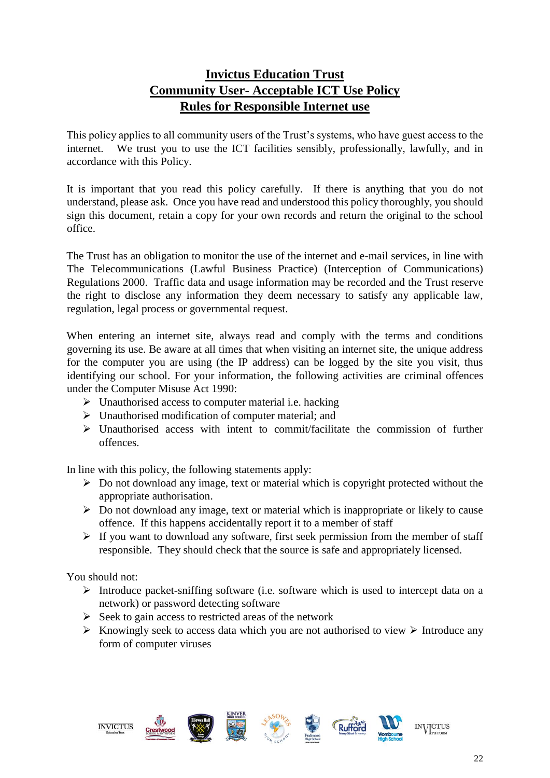## **Invictus Education Trust Community User- Acceptable ICT Use Policy Rules for Responsible Internet use**

This policy applies to all community users of the Trust's systems, who have guest access to the internet. We trust you to use the ICT facilities sensibly, professionally, lawfully, and in accordance with this Policy.

It is important that you read this policy carefully. If there is anything that you do not understand, please ask. Once you have read and understood this policy thoroughly, you should sign this document, retain a copy for your own records and return the original to the school office.

The Trust has an obligation to monitor the use of the internet and e-mail services, in line with The Telecommunications (Lawful Business Practice) (Interception of Communications) Regulations 2000. Traffic data and usage information may be recorded and the Trust reserve the right to disclose any information they deem necessary to satisfy any applicable law, regulation, legal process or governmental request.

When entering an internet site, always read and comply with the terms and conditions governing its use. Be aware at all times that when visiting an internet site, the unique address for the computer you are using (the IP address) can be logged by the site you visit, thus identifying our school. For your information, the following activities are criminal offences under the Computer Misuse Act 1990:

- $\triangleright$  Unauthorised access to computer material i.e. hacking
- ➢ Unauthorised modification of computer material; and
- $\triangleright$  Unauthorised access with intent to commit/facilitate the commission of further offences.

In line with this policy, the following statements apply:

- ➢ Do not download any image, text or material which is copyright protected without the appropriate authorisation.
- $\triangleright$  Do not download any image, text or material which is inappropriate or likely to cause offence. If this happens accidentally report it to a member of staff
- $\triangleright$  If you want to download any software, first seek permission from the member of staff responsible. They should check that the source is safe and appropriately licensed.

You should not:

- ➢ Introduce packet-sniffing software (i.e. software which is used to intercept data on a network) or password detecting software
- $\triangleright$  Seek to gain access to restricted areas of the network
- $\triangleright$  Knowingly seek to access data which you are not authorised to view  $\triangleright$  Introduce any form of computer viruses